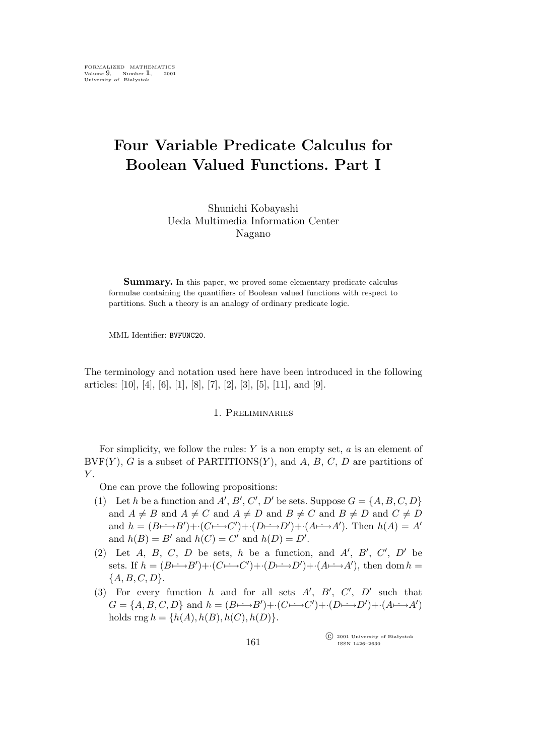# **Four Variable Predicate Calculus for Boolean Valued Functions. Part I**

Shunichi Kobayashi Ueda Multimedia Information Center Nagano

**Summary.** In this paper, we proved some elementary predicate calculus formulae containing the quantifiers of Boolean valued functions with respect to partitions. Such a theory is an analogy of ordinary predicate logic.

MML Identifier: BVFUNC20.

The terminology and notation used here have been introduced in the following articles: [10], [4], [6], [1], [8], [7], [2], [3], [5], [11], and [9].

#### 1. Preliminaries

For simplicity, we follow the rules:  $Y$  is a non empty set,  $a$  is an element of  $BVF(Y)$ , G is a subset of PARTITIONS $(Y)$ , and A, B, C, D are partitions of  $Y$ .

One can prove the following propositions:

- (1) Let h be a function and  $A'$ ,  $B'$ ,  $C'$ ,  $D'$  be sets. Suppose  $G = \{A, B, C, D\}$ and  $A \neq B$  and  $A \neq C$  and  $A \neq D$  and  $B \neq C$  and  $B \neq D$  and  $C \neq D$ and  $h = (B \rightarrow B') + (C \rightarrow C') + (D \rightarrow D') + (A \rightarrow A')$ . Then  $h(A) = A'$ and  $h(B) = B'$  and  $h(C) = C'$  and  $h(D) = D'$ .
- (2) Let  $A$ ,  $B$ ,  $C$ ,  $D$  be sets,  $h$  be a function, and  $A'$ ,  $B'$ ,  $C'$ ,  $D'$  be sets. If  $h = (B \rightarrow B') + (C \rightarrow C') + (D \rightarrow D') + (A \rightarrow A')$ , then dom h = *{*A,B, C, D*}*.
- (3) For every function h and for all sets  $A'$ ,  $B'$ ,  $C'$ ,  $D'$  such that  $G = \{A, B, C, D\}$  and  $h = (B \rightarrow B') + (C \rightarrow C') + (D \rightarrow D') + (A \rightarrow A')$ holds  $\text{rng } h = \{h(A), h(B), h(C), h(D)\}.$

°c 2001 University of Białystok ISSN 1426–2630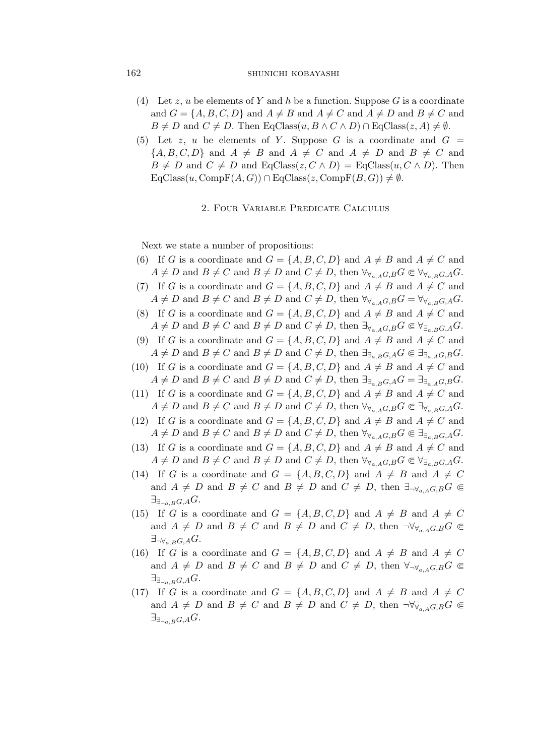## 162 SHUNICHI KOBAYASHI

- (4) Let z, u be elements of Y and h be a function. Suppose G is a coordinate and  $G = \{A, B, C, D\}$  and  $A \neq B$  and  $A \neq C$  and  $A \neq D$  and  $B \neq C$  and  $B \neq D$  and  $C \neq D$ . Then EqClass $(u, B \wedge C \wedge D) \cap$  EqClass $(z, A) \neq \emptyset$ .
- (5) Let z, u be elements of Y. Suppose G is a coordinate and  $G =$  ${A, B, C, D}$  and  $A \neq B$  and  $A \neq C$  and  $A \neq D$  and  $B \neq C$  and  $B \neq D$  and  $C \neq D$  and EqClass( $z, C \wedge D$ ) = EqClass( $u, C \wedge D$ ). Then  $EqClass(u, CompF(A, G)) \cap EqClass(z, CompF(B, G)) \neq \emptyset.$

#### 2. Four Variable Predicate Calculus

Next we state a number of propositions:

- (6) If G is a coordinate and  $G = \{A, B, C, D\}$  and  $A \neq B$  and  $A \neq C$  and  $A \neq D$  and  $B \neq C$  and  $B \neq D$  and  $C \neq D$ , then  $\forall_{\forall_{a,A}G,B} G \in \forall_{\forall_{a,B}G,A} G$ .
- (7) If G is a coordinate and  $G = \{A, B, C, D\}$  and  $A \neq B$  and  $A \neq C$  and  $A \neq D$  and  $B \neq C$  and  $B \neq D$  and  $C \neq D$ , then  $\forall_{\forall_{a,A}G,B}G = \forall_{\forall_{a,B}G,A}G$ .
- (8) If G is a coordinate and  $G = \{A, B, C, D\}$  and  $A \neq B$  and  $A \neq C$  and  $A \neq D$  and  $B \neq C$  and  $B \neq D$  and  $C \neq D$ , then  $\exists_{\forall_{a,A}G,B} G \in \forall_{\exists_{a,B}G,A} G$ .
- (9) If G is a coordinate and  $G = \{A, B, C, D\}$  and  $A \neq B$  and  $A \neq C$  and  $A \neq D$  and  $B \neq C$  and  $B \neq D$  and  $C \neq D$ , then  $\exists_{\exists_{a,B}G,A}G \in \exists_{\exists_{a,A}G,B}G$ .
- (10) If G is a coordinate and  $G = \{A, B, C, D\}$  and  $A \neq B$  and  $A \neq C$  and  $A \neq D$  and  $B \neq C$  and  $B \neq D$  and  $C \neq D$ , then  $\exists_{\exists_{a,B}G,A}G = \exists_{\exists_{a,A}G,B}G$ .
- (11) If G is a coordinate and  $G = \{A, B, C, D\}$  and  $A \neq B$  and  $A \neq C$  and  $A \neq D$  and  $B \neq C$  and  $B \neq D$  and  $C \neq D$ , then  $\forall_{\forall_{a} A} G \in \exists_{\forall_{a} B} G \in \exists_{\forall_{a} B} G$ .
- (12) If G is a coordinate and  $G = \{A, B, C, D\}$  and  $A \neq B$  and  $A \neq C$  and  $A \neq D$  and  $B \neq C$  and  $B \neq D$  and  $C \neq D$ , then  $\forall \forall a \in A, B, G \in \exists \exists a \in B, G, A, G$ .
- (13) If G is a coordinate and  $G = \{A, B, C, D\}$  and  $A \neq B$  and  $A \neq C$  and  $A \neq D$  and  $B \neq C$  and  $B \neq D$  and  $C \neq D$ , then  $\forall_{\forall_{a,A}} G, B G \in \forall_{\exists_{a,B}} G, A G$ .
- (14) If G is a coordinate and  $G = \{A, B, C, D\}$  and  $A \neq B$  and  $A \neq C$ and  $A \neq D$  and  $B \neq C$  and  $B \neq D$  and  $C \neq D$ , then  $\exists_{\neg \forall_{a} A} G, B G \subseteq$ *∃∃¬*a,BG,AG.
- (15) If G is a coordinate and  $G = \{A, B, C, D\}$  and  $A \neq B$  and  $A \neq C$ and  $A \neq D$  and  $B \neq C$  and  $B \neq D$  and  $C \neq D$ , then  $\neg \forall \forall a \in A \subseteq B$ *∃¬∀*a,BG,AG.
- (16) If G is a coordinate and  $G = \{A, B, C, D\}$  and  $A \neq B$  and  $A \neq C$ and  $A \neq D$  and  $B \neq C$  and  $B \neq D$  and  $C \neq D$ , then  $\forall_{\neg \forall_{a} A} G B G \subseteq$ *∃∃¬*a,BG,AG.
- (17) If G is a coordinate and  $G = \{A, B, C, D\}$  and  $A \neq B$  and  $A \neq C$ and  $A \neq D$  and  $B \neq C$  and  $B \neq D$  and  $C \neq D$ , then  $\neg \forall \forall a \in A \subseteq B$ *∃∃¬*a,BG,AG.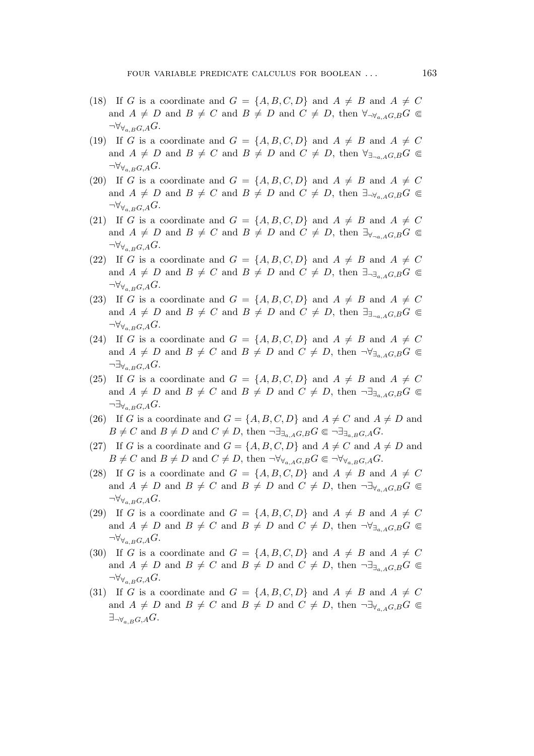- (18) If G is a coordinate and  $G = \{A, B, C, D\}$  and  $A \neq B$  and  $A \neq C$ and  $A \neq D$  and  $B \neq C$  and  $B \neq D$  and  $C \neq D$ , then  $\forall_{\neg \forall_{a} A} G, B^C \in$ *¬∀∀*a,BG,AG.
- (19) If G is a coordinate and  $G = \{A, B, C, D\}$  and  $A \neq B$  and  $A \neq C$ and  $A \neq D$  and  $B \neq C$  and  $B \neq D$  and  $C \neq D$ , then  $\forall_{\exists_{\neg a \in A}G,B}G \subseteq$ *¬∀∀*a,BG,AG.
- (20) If G is a coordinate and  $G = \{A, B, C, D\}$  and  $A \neq B$  and  $A \neq C$ and  $A \neq D$  and  $B \neq C$  and  $B \neq D$  and  $C \neq D$ , then  $\exists_{\neg \forall_{a} A} G, B^C \in$  $\neg \forall_{\forall_{a,B}G,A} G.$
- (21) If G is a coordinate and  $G = \{A, B, C, D\}$  and  $A \neq B$  and  $A \neq C$ and  $A \neq D$  and  $B \neq C$  and  $B \neq D$  and  $C \neq D$ , then  $\exists y_{\neg a}$ ,  $\exists G$ ,  $\in$  $\neg \forall_{\forall_{a,B}G,A} G.$
- (22) If G is a coordinate and  $G = \{A, B, C, D\}$  and  $A \neq B$  and  $A \neq C$ and  $A \neq D$  and  $B \neq C$  and  $B \neq D$  and  $C \neq D$ , then  $\exists_{\neg \exists_{a \in A} G, B} G \subseteq$ *¬∀∀*a,BG,AG.
- (23) If G is a coordinate and  $G = \{A, B, C, D\}$  and  $A \neq B$  and  $A \neq C$ and  $A \neq D$  and  $B \neq C$  and  $B \neq D$  and  $C \neq D$ , then  $\exists_{\exists_{\neg a \in A}G,B}G \subseteq$ *¬∀∀*a,BG,AG.
- (24) If G is a coordinate and  $G = \{A, B, C, D\}$  and  $A \neq B$  and  $A \neq C$ and  $A \neq D$  and  $B \neq C$  and  $B \neq D$  and  $C \neq D$ , then  $\neg \forall \exists a \in A \subseteq B$ *¬∃∀*a,BG,AG.
- (25) If G is a coordinate and  $G = \{A, B, C, D\}$  and  $A \neq B$  and  $A \neq C$ and  $A \neq D$  and  $B \neq C$  and  $B \neq D$  and  $C \neq D$ , then  $\neg \exists \exists_{A \in A} G, B \in \mathcal{C}$ *¬∃∀*a,BG,AG.
- (26) If G is a coordinate and  $G = \{A, B, C, D\}$  and  $A \neq C$  and  $A \neq D$  and  $B \neq C$  and  $B \neq D$  and  $C \neq D$ , then  $\neg \exists_{\exists_{a,A}G,B} G \in \neg \exists_{\exists_{a,B}G,A} G$ .
- (27) If G is a coordinate and  $G = \{A, B, C, D\}$  and  $A \neq C$  and  $A \neq D$  and  $B \neq C$  and  $B \neq D$  and  $C \neq D$ , then  $\neg \forall_{\forall_{a,A}G,B} G \in \neg \forall_{\forall_{a,B}G,A} G$ .
- (28) If G is a coordinate and  $G = \{A, B, C, D\}$  and  $A \neq B$  and  $A \neq C$ and  $A \neq D$  and  $B \neq C$  and  $B \neq D$  and  $C \neq D$ , then  $\neg \exists \forall_{a,A} G, B \in \mathcal{C}$ *¬∀∀*a,BG,AG.
- (29) If G is a coordinate and  $G = \{A, B, C, D\}$  and  $A \neq B$  and  $A \neq C$ and  $A \neq D$  and  $B \neq C$  and  $B \neq D$  and  $C \neq D$ , then  $\neg \forall \exists a \in A \cap G \subseteq$ *¬∀∀*a,BG,AG.
- (30) If G is a coordinate and  $G = \{A, B, C, D\}$  and  $A \neq B$  and  $A \neq C$ and  $A \neq D$  and  $B \neq C$  and  $B \neq D$  and  $C \neq D$ , then  $\neg \exists_{\exists_{a} A G, B} G \subseteq$ *¬∀∀*a,BG,AG.
- (31) If G is a coordinate and  $G = \{A, B, C, D\}$  and  $A \neq B$  and  $A \neq C$ and  $A \neq D$  and  $B \neq C$  and  $B \neq D$  and  $C \neq D$ , then  $\neg \exists \forall a \in A \subseteq B$ *∃¬∀*a,BG,AG.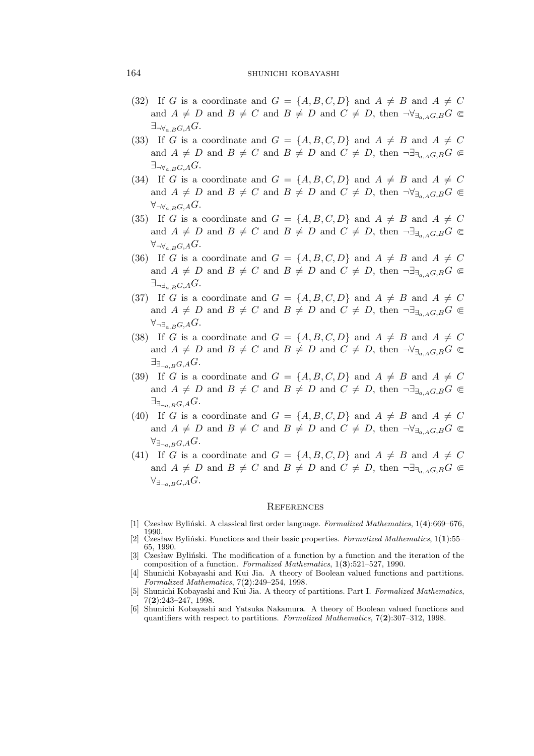### 164 SHUNICHI KOBAYASHI

- (32) If G is a coordinate and  $G = \{A, B, C, D\}$  and  $A \neq B$  and  $A \neq C$ and  $A \neq D$  and  $B \neq C$  and  $B \neq D$  and  $C \neq D$ , then  $\neg \forall \exists a \in A \subseteq B$ *∃¬∀*a,BG,AG.
- (33) If G is a coordinate and  $G = \{A, B, C, D\}$  and  $A \neq B$  and  $A \neq C$ and  $A \neq D$  and  $B \neq C$  and  $B \neq D$  and  $C \neq D$ , then  $\neg \exists \exists a \in A \cap G \subseteq$ *∃¬∀*a,BG,AG.
- (34) If G is a coordinate and  $G = \{A, B, C, D\}$  and  $A \neq B$  and  $A \neq C$ and  $A \neq D$  and  $B \neq C$  and  $B \neq D$  and  $C \neq D$ , then  $\neg \forall \exists_{a,A} G, B \in \mathcal{C}$ *∀¬∀*a,BG,AG.
- (35) If G is a coordinate and  $G = \{A, B, C, D\}$  and  $A \neq B$  and  $A \neq C$ and  $A \neq D$  and  $B \neq C$  and  $B \neq D$  and  $C \neq D$ , then  $\neg \exists_{\exists_{a} A} G, B G \subseteq$ *∀¬∀*a,BG,AG.
- (36) If G is a coordinate and  $G = \{A, B, C, D\}$  and  $A \neq B$  and  $A \neq C$ and  $A \neq D$  and  $B \neq C$  and  $B \neq D$  and  $C \neq D$ , then  $\neg \exists \exists a \in G, B \subseteq C$ *∃¬∃*a,BG,AG.
- (37) If G is a coordinate and  $G = \{A, B, C, D\}$  and  $A \neq B$  and  $A \neq C$ and  $A \neq D$  and  $B \neq C$  and  $B \neq D$  and  $C \neq D$ , then  $\neg \exists \exists_{a \in A} G, B \subseteq C$ *∀¬∃*a,BG,AG.
- (38) If G is a coordinate and  $G = \{A, B, C, D\}$  and  $A \neq B$  and  $A \neq C$ and  $A \neq D$  and  $B \neq C$  and  $B \neq D$  and  $C \neq D$ , then  $\neg \forall \exists a \in G, B$ *∃∃¬*a,BG,AG.
- (39) If G is a coordinate and  $G = \{A, B, C, D\}$  and  $A \neq B$  and  $A \neq C$ and  $A \neq D$  and  $B \neq C$  and  $B \neq D$  and  $C \neq D$ , then  $\neg \exists \exists a \in A \cap B$ *∃∃¬*a,BG,AG.
- (40) If G is a coordinate and  $G = \{A, B, C, D\}$  and  $A \neq B$  and  $A \neq C$ and  $A \neq D$  and  $B \neq C$  and  $B \neq D$  and  $C \neq D$ , then  $\neg \forall \exists a \in A \cap G \subseteq$ *∀∃¬*a,BG,AG.
- (41) If G is a coordinate and  $G = \{A, B, C, D\}$  and  $A \neq B$  and  $A \neq C$ and  $A \neq D$  and  $B \neq C$  and  $B \neq D$  and  $C \neq D$ , then  $\neg \exists_{\exists_a A G, B} G \in$ *∀∃¬*a,BG,AG.

#### **REFERENCES**

- [1] Czesław Byliński. A classical first order language. *Formalized Mathematics*, 1(**4**):669–676, 1990.
- [2] Czesław Byliński. Functions and their basic properties. *Formalized Mathematics*, 1(**1**):55– 65, 1990.
- [3] Czesław Byliński. The modification of a function by a function and the iteration of the composition of a function. *Formalized Mathematics*, 1(**3**):521–527, 1990.
- [4] Shunichi Kobayashi and Kui Jia. A theory of Boolean valued functions and partitions. *Formalized Mathematics*, 7(**2**):249–254, 1998.
- [5] Shunichi Kobayashi and Kui Jia. A theory of partitions. Part I. *Formalized Mathematics*, 7(**2**):243–247, 1998.
- [6] Shunichi Kobayashi and Yatsuka Nakamura. A theory of Boolean valued functions and quantifiers with respect to partitions. *Formalized Mathematics*, 7(**2**):307–312, 1998.